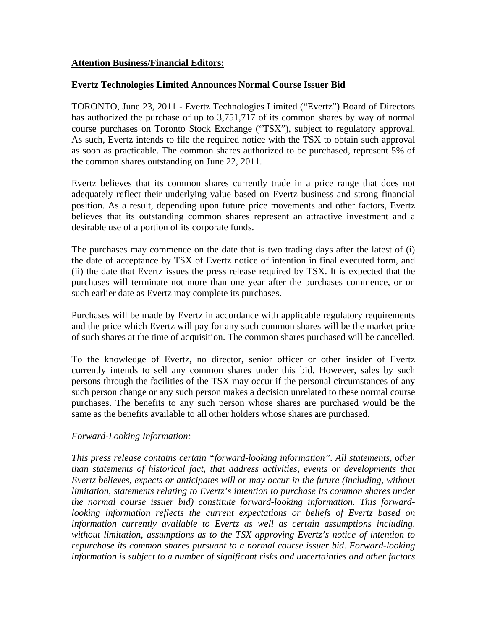## **Attention Business/Financial Editors:**

## **Evertz Technologies Limited Announces Normal Course Issuer Bid**

TORONTO, June 23, 2011 - Evertz Technologies Limited ("Evertz") Board of Directors has authorized the purchase of up to 3,751,717 of its common shares by way of normal course purchases on Toronto Stock Exchange ("TSX"), subject to regulatory approval. As such, Evertz intends to file the required notice with the TSX to obtain such approval as soon as practicable. The common shares authorized to be purchased, represent 5% of the common shares outstanding on June 22, 2011.

Evertz believes that its common shares currently trade in a price range that does not adequately reflect their underlying value based on Evertz business and strong financial position. As a result, depending upon future price movements and other factors, Evertz believes that its outstanding common shares represent an attractive investment and a desirable use of a portion of its corporate funds.

The purchases may commence on the date that is two trading days after the latest of (i) the date of acceptance by TSX of Evertz notice of intention in final executed form, and (ii) the date that Evertz issues the press release required by TSX. It is expected that the purchases will terminate not more than one year after the purchases commence, or on such earlier date as Evertz may complete its purchases.

Purchases will be made by Evertz in accordance with applicable regulatory requirements and the price which Evertz will pay for any such common shares will be the market price of such shares at the time of acquisition. The common shares purchased will be cancelled.

To the knowledge of Evertz, no director, senior officer or other insider of Evertz currently intends to sell any common shares under this bid. However, sales by such persons through the facilities of the TSX may occur if the personal circumstances of any such person change or any such person makes a decision unrelated to these normal course purchases. The benefits to any such person whose shares are purchased would be the same as the benefits available to all other holders whose shares are purchased.

## *Forward-Looking Information:*

*This press release contains certain "forward-looking information". All statements, other than statements of historical fact, that address activities, events or developments that Evertz believes, expects or anticipates will or may occur in the future (including, without limitation, statements relating to Evertz's intention to purchase its common shares under the normal course issuer bid) constitute forward-looking information. This forwardlooking information reflects the current expectations or beliefs of Evertz based on information currently available to Evertz as well as certain assumptions including, without limitation, assumptions as to the TSX approving Evertz's notice of intention to repurchase its common shares pursuant to a normal course issuer bid. Forward-looking information is subject to a number of significant risks and uncertainties and other factors*